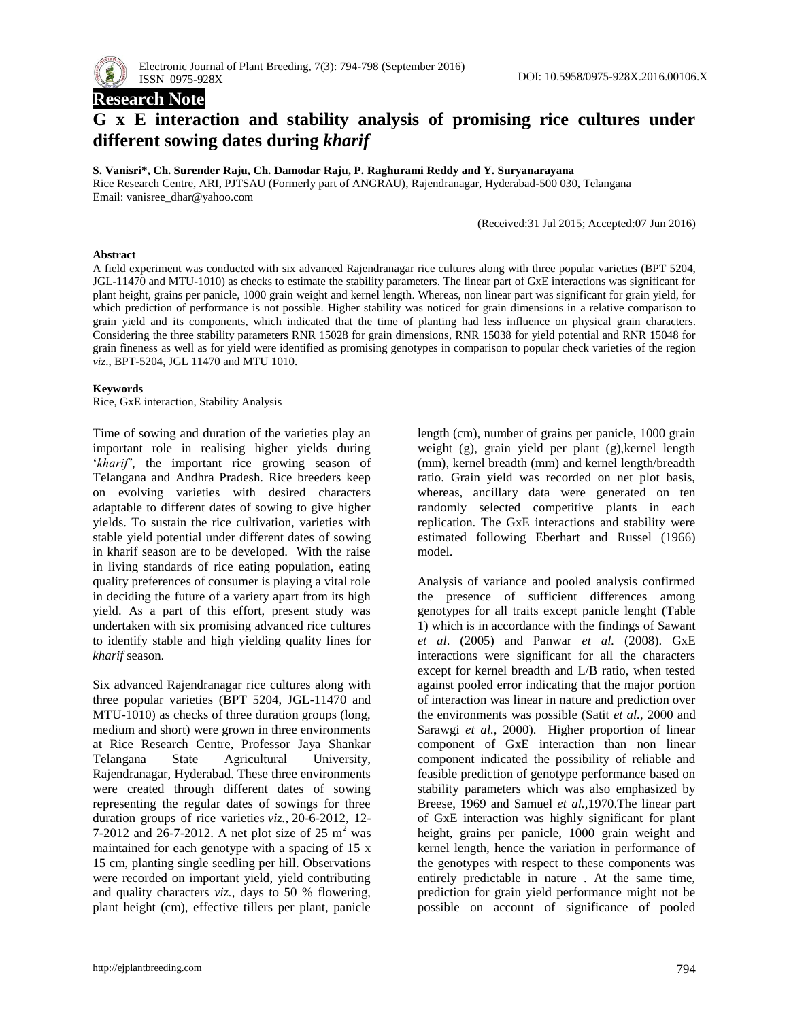

# **Research Note G x E interaction and stability analysis of promising rice cultures under different sowing dates during** *kharif*

#### **S. Vanisri\*, Ch. Surender Raju, Ch. Damodar Raju, P. Raghurami Reddy and Y. Suryanarayana**

Rice Research Centre, ARI, PJTSAU (Formerly part of ANGRAU), Rajendranagar, Hyderabad-500 030, Telangana Email: vanisree\_dhar@yahoo.com

(Received:31 Jul 2015; Accepted:07 Jun 2016)

#### **Abstract**

A field experiment was conducted with six advanced Rajendranagar rice cultures along with three popular varieties (BPT 5204, JGL-11470 and MTU-1010) as checks to estimate the stability parameters. The linear part of GxE interactions was significant for plant height, grains per panicle, 1000 grain weight and kernel length. Whereas, non linear part was significant for grain yield, for which prediction of performance is not possible. Higher stability was noticed for grain dimensions in a relative comparison to grain yield and its components, which indicated that the time of planting had less influence on physical grain characters. Considering the three stability parameters RNR 15028 for grain dimensions, RNR 15038 for yield potential and RNR 15048 for grain fineness as well as for yield were identified as promising genotypes in comparison to popular check varieties of the region *viz*., BPT-5204, JGL 11470 and MTU 1010.

#### **Keywords**

Rice, GxE interaction, Stability Analysis

Time of sowing and duration of the varieties play an important role in realising higher yields during 'kharif', the important rice growing season of Telangana and Andhra Pradesh. Rice breeders keep on evolving varieties with desired characters adaptable to different dates of sowing to give higher yields. To sustain the rice cultivation, varieties with stable yield potential under different dates of sowing in kharif season are to be developed. With the raise in living standards of rice eating population, eating quality preferences of consumer is playing a vital role in deciding the future of a variety apart from its high yield. As a part of this effort, present study was undertaken with six promising advanced rice cultures to identify stable and high yielding quality lines for *kharif* season.

Six advanced Rajendranagar rice cultures along with three popular varieties (BPT 5204, JGL-11470 and MTU-1010) as checks of three duration groups (long, medium and short) were grown in three environments at Rice Research Centre, Professor Jaya Shankar Telangana State Agricultural University, Rajendranagar, Hyderabad. These three environments were created through different dates of sowing representing the regular dates of sowings for three duration groups of rice varieties *viz.,* 20-6-2012, 12- 7-2012 and 26-7-2012. A net plot size of 25  $m^2$  was maintained for each genotype with a spacing of 15 x 15 cm, planting single seedling per hill. Observations were recorded on important yield, yield contributing and quality characters *viz.,* days to 50 % flowering, plant height (cm), effective tillers per plant, panicle length (cm), number of grains per panicle, 1000 grain weight (g), grain yield per plant (g),kernel length (mm), kernel breadth (mm) and kernel length/breadth ratio. Grain yield was recorded on net plot basis, whereas, ancillary data were generated on ten randomly selected competitive plants in each replication. The GxE interactions and stability were estimated following Eberhart and Russel (1966) model.

Analysis of variance and pooled analysis confirmed the presence of sufficient differences among genotypes for all traits except panicle lenght (Table 1) which is in accordance with the findings of Sawant *et al*. (2005) and Panwar *et al.* (2008). GxE interactions were significant for all the characters except for kernel breadth and L/B ratio, when tested against pooled error indicating that the major portion of interaction was linear in nature and prediction over the environments was possible (Satit *et al.,* 2000 and Sarawgi *et al.,* 2000). Higher proportion of linear component of GxE interaction than non linear component indicated the possibility of reliable and feasible prediction of genotype performance based on stability parameters which was also emphasized by Breese, 1969 and Samuel *et al.,*1970.The linear part of GxE interaction was highly significant for plant height, grains per panicle, 1000 grain weight and kernel length, hence the variation in performance of the genotypes with respect to these components was entirely predictable in nature . At the same time, prediction for grain yield performance might not be possible on account of significance of pooled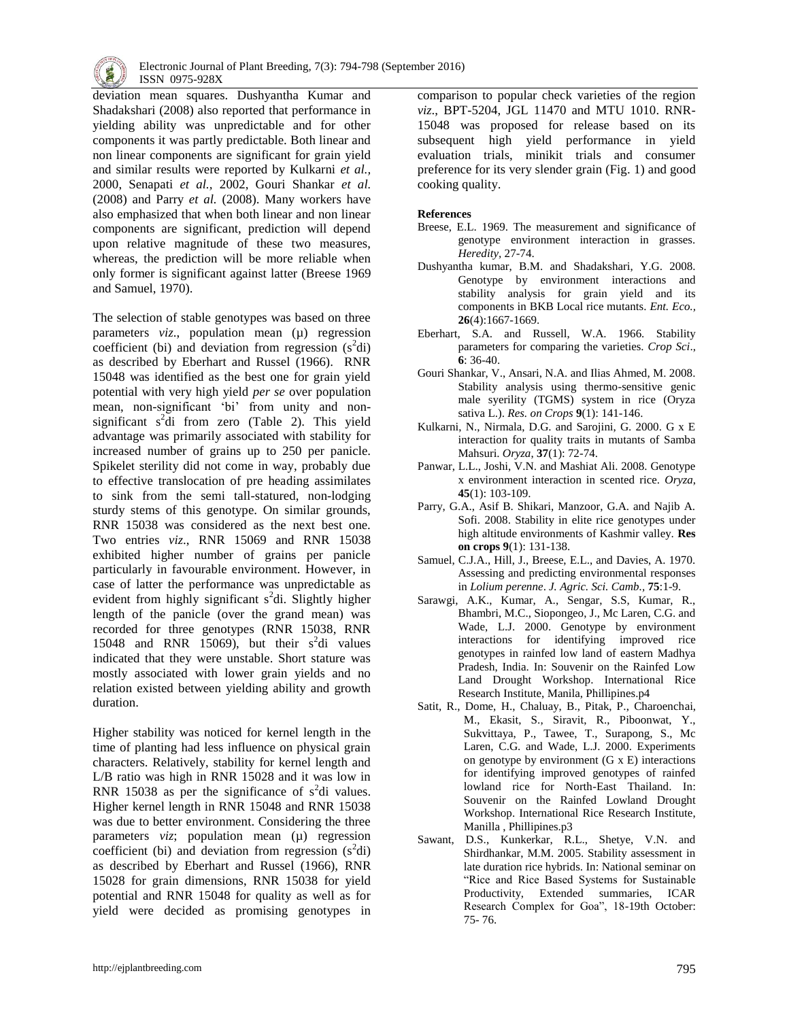

deviation mean squares. Dushyantha Kumar and Shadakshari (2008) also reported that performance in yielding ability was unpredictable and for other components it was partly predictable. Both linear and non linear components are significant for grain yield and similar results were reported by Kulkarni *et al.,* 2000, Senapati *et al.,* 2002, Gouri Shankar *et al.* (2008) and Parry *et al.* (2008). Many workers have also emphasized that when both linear and non linear components are significant, prediction will depend upon relative magnitude of these two measures, whereas, the prediction will be more reliable when only former is significant against latter (Breese 1969 and Samuel, 1970).

The selection of stable genotypes was based on three parameters *viz*., population mean (µ) regression coefficient (bi) and deviation from regression  $(s^2di)$ as described by Eberhart and Russel (1966). RNR 15048 was identified as the best one for grain yield potential with very high yield *per se* over population mean, non-significant 'bi' from unity and nonsignificant  $s^2$ di from zero (Table 2). This yield advantage was primarily associated with stability for increased number of grains up to 250 per panicle. Spikelet sterility did not come in way, probably due to effective translocation of pre heading assimilates to sink from the semi tall-statured, non-lodging sturdy stems of this genotype. On similar grounds, RNR 15038 was considered as the next best one. Two entries *viz*., RNR 15069 and RNR 15038 exhibited higher number of grains per panicle particularly in favourable environment. However, in case of latter the performance was unpredictable as evident from highly significant  $s^2$ di. Slightly higher length of the panicle (over the grand mean) was recorded for three genotypes (RNR 15038, RNR 15048 and RNR 15069), but their  $s^2$ di values indicated that they were unstable. Short stature was mostly associated with lower grain yields and no relation existed between yielding ability and growth duration.

Higher stability was noticed for kernel length in the time of planting had less influence on physical grain characters. Relatively, stability for kernel length and L/B ratio was high in RNR 15028 and it was low in RNR 15038 as per the significance of  $s^2$ di values. Higher kernel length in RNR 15048 and RNR 15038 was due to better environment. Considering the three parameters *viz*; population mean (µ) regression coefficient (bi) and deviation from regression  $(s^2di)$ as described by Eberhart and Russel (1966), RNR 15028 for grain dimensions, RNR 15038 for yield potential and RNR 15048 for quality as well as for yield were decided as promising genotypes in

comparison to popular check varieties of the region *viz*., BPT-5204, JGL 11470 and MTU 1010. RNR-15048 was proposed for release based on its subsequent high yield performance in yield evaluation trials, minikit trials and consumer preference for its very slender grain (Fig. 1) and good cooking quality.

### **References**

- Breese, E.L. 1969. The measurement and significance of genotype environment interaction in grasses. *Heredity,* 27-74.
- Dushyantha kumar, B.M. and Shadakshari, Y.G. 2008. Genotype by environment interactions and stability analysis for grain yield and its components in BKB Local rice mutants. *Ent. Eco.,* **26**(4):1667-1669.
- Eberhart, S.A. and Russell, W.A. 1966. Stability parameters for comparing the varieties. *Crop Sci*., **6**: 36-40.
- Gouri Shankar, V., Ansari, N.A. and Ilias Ahmed, M. 2008. Stability analysis using thermo-sensitive genic male syerility (TGMS) system in rice (Oryza sativa L.). *Res. on Crops* **9**(1): 141-146.
- Kulkarni, N., Nirmala, D.G. and Sarojini, G. 2000. G x E interaction for quality traits in mutants of Samba Mahsuri. *Oryza*, **37**(1): 72-74.
- Panwar, L.L., Joshi, V.N. and Mashiat Ali. 2008. Genotype x environment interaction in scented rice. *Oryza*, **45**(1): 103-109.
- Parry, G.A., Asif B. Shikari, Manzoor, G.A. and Najib A. Sofi. 2008. Stability in elite rice genotypes under high altitude environments of Kashmir valley. **Res on crops 9**(1): 131-138.
- Samuel, C.J.A., Hill, J., Breese, E.L., and Davies, A. 1970. Assessing and predicting environmental responses in *Lolium perenne*. *J. Agric. Sci. Camb.,* **75**:1-9.
- Sarawgi, A.K., Kumar, A., Sengar, S.S, Kumar, R., Bhambri, M.C., Siopongeo, J., Mc Laren, C.G. and Wade, L.J. 2000. Genotype by environment interactions for identifying improved rice genotypes in rainfed low land of eastern Madhya Pradesh, India. In: Souvenir on the Rainfed Low Land Drought Workshop. International Rice Research Institute, Manila, Phillipines.p4
- Satit, R., Dome, H., Chaluay, B., Pitak, P., Charoenchai, M., Ekasit, S., Siravit, R., Piboonwat, Y., Sukvittaya, P., Tawee, T., Surapong, S., Mc Laren, C.G. and Wade, L.J. 2000. Experiments on genotype by environment (G x E) interactions for identifying improved genotypes of rainfed lowland rice for North-East Thailand. In: Souvenir on the Rainfed Lowland Drought Workshop. International Rice Research Institute, Manilla , Phillipines.p3
- Sawant, D.S., Kunkerkar, R.L., Shetye, V.N. and Shirdhankar, M.M. 2005. Stability assessment in late duration rice hybrids. In: National seminar on "Rice and Rice Based Systems for Sustainable Productivity, Extended summaries, ICAR Research Complex for Goa", 18-19th October: 75- 76.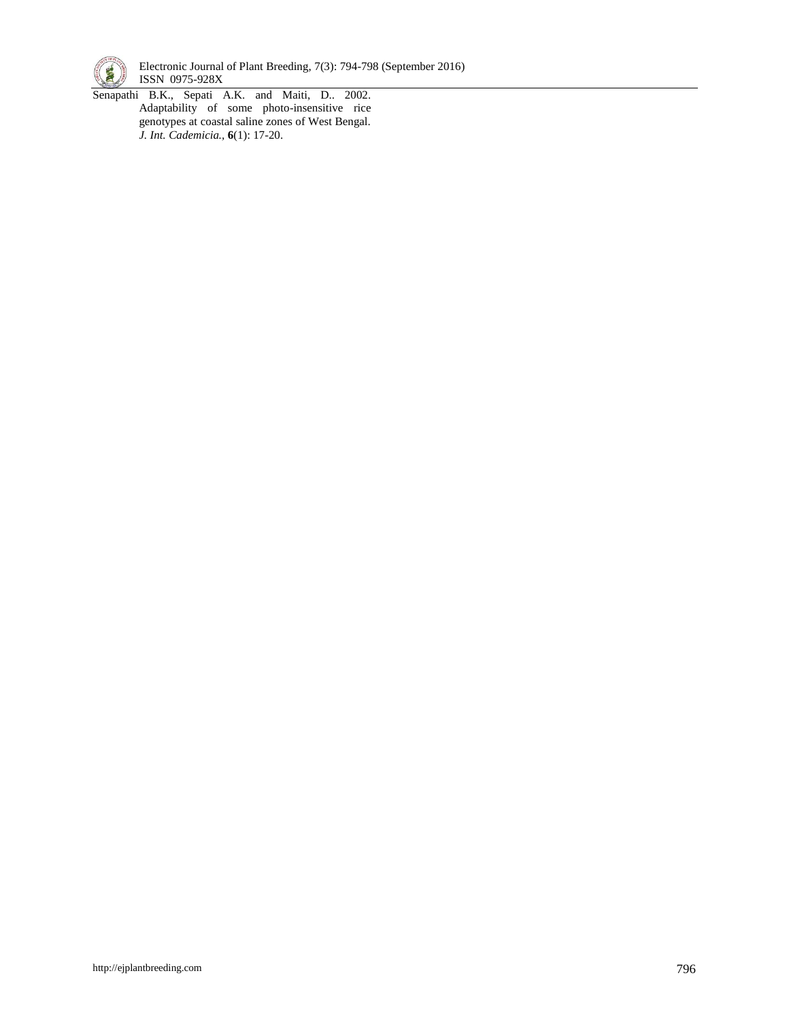

Electronic Journal of Plant Breeding, 7(3): 794-798 (September 2016) **ISSN** 0975-928X

Senapathi B.K., Sepati A.K. and Maiti, D.. 2002. Adaptability of some photo-insensitive rice genotypes at coastal saline zones of West Bengal. *J. Int. Cademicia.,* **6**(1): 17-20.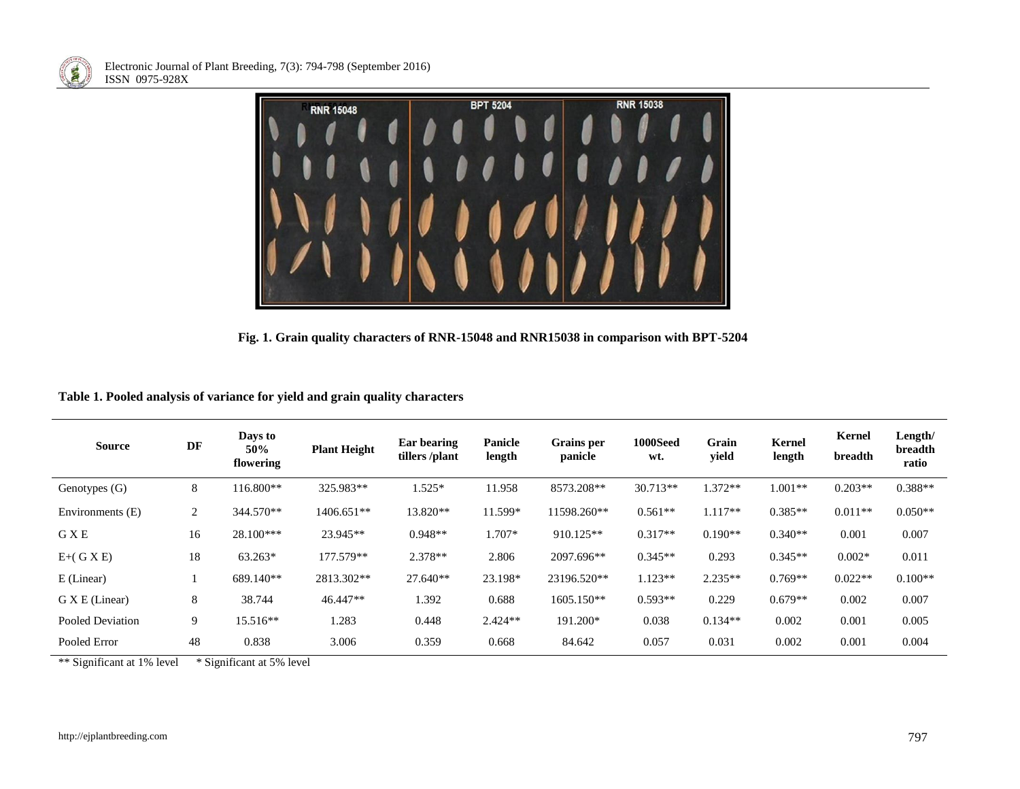



**Fig. 1. Grain quality characters of RNR-15048 and RNR15038 in comparison with BPT-5204**

|  |  |  |  |  | Table 1. Pooled analysis of variance for yield and grain quality characters |
|--|--|--|--|--|-----------------------------------------------------------------------------|
|  |  |  |  |  |                                                                             |

| <b>Source</b>    | DF | Days to<br>50%<br>flowering | <b>Plant Height</b> | Ear bearing<br>tillers/plant | Panicle<br>length | <b>Grains</b> per<br>panicle | 1000Seed<br>wt. | Grain<br>yield | <b>Kernel</b><br>length | <b>Kernel</b><br>breadth | Length/<br>breadth<br>ratio |
|------------------|----|-----------------------------|---------------------|------------------------------|-------------------|------------------------------|-----------------|----------------|-------------------------|--------------------------|-----------------------------|
| Genotypes (G)    | 8  | 116.800**                   | 325.983**           | $1.525*$                     | 11.958            | 8573.208**                   | $30.713**$      | $1.372**$      | $1.001**$               | $0.203**$                | $0.388**$                   |
| Environments (E) | 2  | 344.570**                   | 1406.651**          | 13.820**                     | 11.599*           | 11598.260**                  | $0.561**$       | $1.117**$      | $0.385**$               | $0.011**$                | $0.050**$                   |
| <b>GXE</b>       | 16 | 28.100***                   | 23.945**            | $0.948**$                    | 1.707*            | 910.125**                    | $0.317**$       | $0.190**$      | $0.340**$               | 0.001                    | 0.007                       |
| $E+(G X E)$      | 18 | 63.263*                     | 177.579**           | 2.378**                      | 2.806             | 2097.696**                   | $0.345**$       | 0.293          | $0.345**$               | $0.002*$                 | 0.011                       |
| E (Linear)       |    | 689.140**                   | 2813.302**          | 27.640**                     | 23.198*           | 23196.520**                  | $1.123**$       | $2.235**$      | $0.769**$               | $0.022**$                | $0.100**$                   |
| G X E (Linear)   | 8  | 38.744                      | 46.447**            | 1.392                        | 0.688             | 1605.150**                   | $0.593**$       | 0.229          | $0.679**$               | 0.002                    | 0.007                       |
| Pooled Deviation | 9  | 15.516**                    | 1.283               | 0.448                        | $2.424**$         | 191.200*                     | 0.038           | $0.134**$      | 0.002                   | 0.001                    | 0.005                       |
| Pooled Error     | 48 | 0.838                       | 3.006               | 0.359                        | 0.668             | 84.642                       | 0.057           | 0.031          | 0.002                   | 0.001                    | 0.004                       |

\*\* Significant at 1% level \* Significant at 5% level